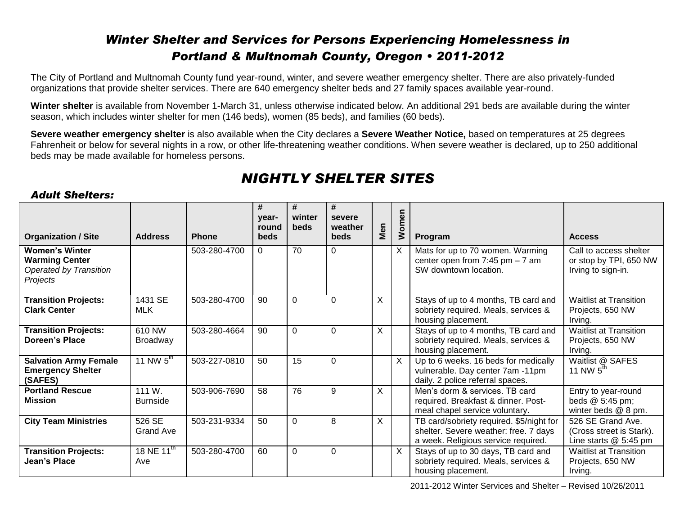### *Winter Shelter and Services for Persons Experiencing Homelessness in Portland & Multnomah County, Oregon • 2011-2012*

The City of Portland and Multnomah County fund year-round, winter, and severe weather emergency shelter. There are also privately-funded organizations that provide shelter services. There are 640 emergency shelter beds and 27 family spaces available year-round.

**Winter shelter** is available from November 1-March 31, unless otherwise indicated below. An additional 291 beds are available during the winter season, which includes winter shelter for men (146 beds), women (85 beds), and families (60 beds).

**Severe weather emergency shelter** is also available when the City declares a **Severe Weather Notice,** based on temperatures at 25 degrees Fahrenheit or below for several nights in a row, or other life-threatening weather conditions. When severe weather is declared, up to 250 additional beds may be made available for homeless persons.

## *NIGHTLY SHELTER SITES*

#### *Adult Shelters:*

| <b>Organization / Site</b>                                                                  | <b>Address</b>             | <b>Phone</b> | #<br>vear-<br>round<br><b>beds</b> | #<br>winter<br><b>beds</b> | #<br>severe<br>weather<br><b>beds</b> | Men | Women        | Program                                                                                                                  | <b>Access</b>                                                           |
|---------------------------------------------------------------------------------------------|----------------------------|--------------|------------------------------------|----------------------------|---------------------------------------|-----|--------------|--------------------------------------------------------------------------------------------------------------------------|-------------------------------------------------------------------------|
| <b>Women's Winter</b><br><b>Warming Center</b><br><b>Operated by Transition</b><br>Projects |                            | 503-280-4700 | $\Omega$                           | 70                         | $\Omega$                              |     | X            | Mats for up to 70 women. Warming<br>center open from $7:45$ pm $-7$ am<br>SW downtown location.                          | Call to access shelter<br>or stop by TPI, 650 NW<br>Irving to sign-in.  |
| <b>Transition Projects:</b><br><b>Clark Center</b>                                          | 1431 SE<br><b>MLK</b>      | 503-280-4700 | 90                                 | $\Omega$                   | $\Omega$                              | X   |              | Stays of up to 4 months, TB card and<br>sobriety required. Meals, services &<br>housing placement.                       | <b>Waitlist at Transition</b><br>Projects, 650 NW<br>Irving.            |
| <b>Transition Projects:</b><br>Doreen's Place                                               | 610 NW<br>Broadway         | 503-280-4664 | 90                                 | $\Omega$                   | $\Omega$                              | X   |              | Stays of up to 4 months, TB card and<br>sobriety required. Meals, services &<br>housing placement.                       | <b>Waitlist at Transition</b><br>Projects, 650 NW<br>Irving.            |
| <b>Salvation Army Female</b><br><b>Emergency Shelter</b><br>(SAFES)                         | 11 NW $5^{\text{th}}$      | 503-227-0810 | 50                                 | 15                         | $\mathbf 0$                           |     | $\mathsf{X}$ | Up to 6 weeks. 16 beds for medically<br>vulnerable. Day center 7am -11pm<br>daily. 2 police referral spaces.             | Waitlist @ SAFES<br>11 NW $5^{th}$                                      |
| <b>Portland Rescue</b><br><b>Mission</b>                                                    | 111 W.<br><b>Burnside</b>  | 503-906-7690 | 58                                 | 76                         | 9                                     | X   |              | Men's dorm & services. TB card<br>required. Breakfast & dinner. Post-<br>meal chapel service voluntary.                  | Entry to year-round<br>beds @ 5:45 pm;<br>winter beds @ 8 pm.           |
| <b>City Team Ministries</b>                                                                 | 526 SE<br><b>Grand Ave</b> | 503-231-9334 | 50                                 | $\Omega$                   | 8                                     | X   |              | TB card/sobriety required. \$5/night for<br>shelter. Severe weather: free. 7 days<br>a week. Religious service required. | 526 SE Grand Ave.<br>(Cross street is Stark).<br>Line starts $@5:45$ pm |
| <b>Transition Projects:</b><br>Jean's Place                                                 | 18 NE $11^{th}$<br>Ave     | 503-280-4700 | 60                                 | $\Omega$                   | 0                                     |     | $\times$     | Stays of up to 30 days, TB card and<br>sobriety required. Meals, services &<br>housing placement.                        | <b>Waitlist at Transition</b><br>Projects, 650 NW<br>Irving.            |

2011-2012 Winter Services and Shelter – Revised 10/26/2011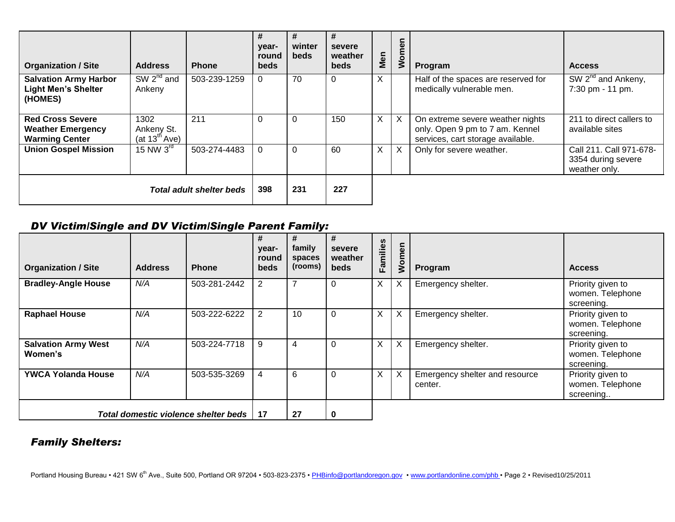| <b>Organization / Site</b>                                                   | <b>Address</b>                                  | <b>Phone</b> | #<br>year-<br>round<br>beds | #<br>winter<br><b>beds</b> | #<br>severe<br>weather<br><b>beds</b> | Men          | Womer                     | Program                                                                                                  | <b>Access</b>                                                        |
|------------------------------------------------------------------------------|-------------------------------------------------|--------------|-----------------------------|----------------------------|---------------------------------------|--------------|---------------------------|----------------------------------------------------------------------------------------------------------|----------------------------------------------------------------------|
| <b>Salvation Army Harbor</b><br><b>Light Men's Shelter</b><br>(HOMES)        | $SW 2nd$ and<br>Ankeny                          | 503-239-1259 | $\Omega$                    | 70                         | 0                                     | X.           |                           | Half of the spaces are reserved for<br>medically vulnerable men.                                         | $\overline{\text{SW 2}^{\text{nd}}}$ and Ankeny,<br>7:30 pm - 11 pm. |
| <b>Red Cross Severe</b><br><b>Weather Emergency</b><br><b>Warming Center</b> | 1302<br>Ankeny St.<br>(at $13^{\text{th}}$ Ave) | 211          | 0                           |                            | 150                                   | X            | $\times$                  | On extreme severe weather nights<br>only. Open 9 pm to 7 am. Kennel<br>services, cart storage available. | 211 to direct callers to<br>available sites                          |
| <b>Union Gospel Mission</b>                                                  | $15$ NW $3rd$                                   | 503-274-4483 | $\Omega$                    | 0                          | 60                                    | $\mathsf{X}$ | $\boldsymbol{\mathsf{X}}$ | Only for severe weather.                                                                                 | Call 211. Call 971-678-<br>3354 during severe<br>weather only.       |
| <b>Total adult shelter beds</b>                                              |                                                 |              | 398                         | 231                        | 227                                   |              |                           |                                                                                                          |                                                                      |

#### *DV Victim/Single and DV Victim/Single Parent Family:*

| <b>Organization / Site</b>            | <b>Address</b> | <b>Phone</b> | #<br>year-<br>round<br>beds | #<br>family<br>spaces<br>(rooms) | #<br>severe<br>weather<br>beds | Families | men<br>$\overline{\mathsf{S}}$ | Program                                   | <b>Access</b>                                       |
|---------------------------------------|----------------|--------------|-----------------------------|----------------------------------|--------------------------------|----------|--------------------------------|-------------------------------------------|-----------------------------------------------------|
| <b>Bradley-Angle House</b>            | N/A            | 503-281-2442 | 2                           |                                  | 0                              | Χ        | X                              | Emergency shelter.                        | Priority given to<br>women. Telephone<br>screening. |
| <b>Raphael House</b>                  | N/A            | 503-222-6222 | 2                           | 10                               | $\Omega$                       | X        | X                              | Emergency shelter.                        | Priority given to<br>women. Telephone<br>screening. |
| <b>Salvation Army West</b><br>Women's | N/A            | 503-224-7718 | 9                           | 4                                | $\mathbf 0$                    | X        | X                              | Emergency shelter.                        | Priority given to<br>women. Telephone<br>screening. |
| <b>YWCA Yolanda House</b>             | N/A            | 503-535-3269 | 4                           | 6                                | 0                              | Χ        |                                | Emergency shelter and resource<br>center. | Priority given to<br>women. Telephone<br>screening  |
| Total domestic violence shelter beds  |                |              | 17                          | 27                               | 0                              |          |                                |                                           |                                                     |

### *Family Shelters:*

Portland Housing Bureau • 421 SW 6<sup>th</sup> Ave., Suite 500, Portland OR 97204 • 503-823-2375 • PHBinfo@portlandoregon.gov • www.portlandonline.com/phb • Page 2 • Revised10/25/2011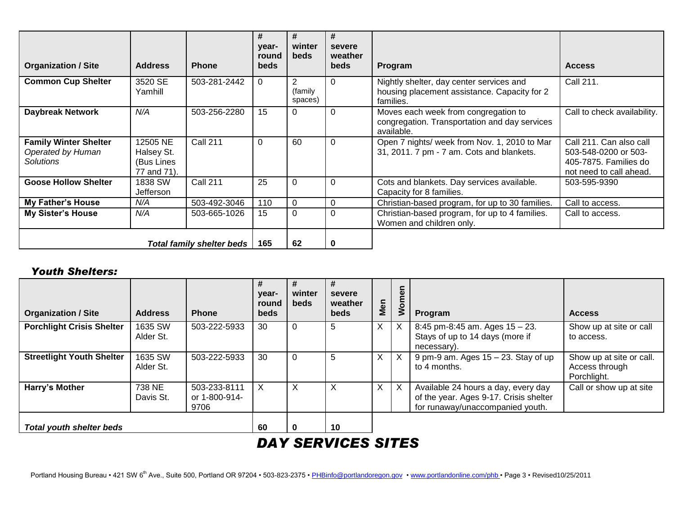| <b>Organization / Site</b>                                     | <b>Address</b>                                      | <b>Phone</b>    | #<br>year-<br>round<br><b>beds</b> | #<br>winter<br><b>beds</b>           | #<br>severe<br>weather<br><b>beds</b> | Program                                                                                               | <b>Access</b>                                                                                       |
|----------------------------------------------------------------|-----------------------------------------------------|-----------------|------------------------------------|--------------------------------------|---------------------------------------|-------------------------------------------------------------------------------------------------------|-----------------------------------------------------------------------------------------------------|
| <b>Common Cup Shelter</b>                                      | 3520 SE<br>Yamhill                                  | 503-281-2442    | 0                                  | $\overline{2}$<br>(family<br>spaces) | $\Omega$                              | Nightly shelter, day center services and<br>housing placement assistance. Capacity for 2<br>families. | Call 211.                                                                                           |
| <b>Daybreak Network</b>                                        | N/A                                                 | 503-256-2280    | 15                                 | 0                                    | $\Omega$                              | Moves each week from congregation to<br>congregation. Transportation and day services<br>available.   | Call to check availability.                                                                         |
| <b>Family Winter Shelter</b><br>Operated by Human<br>Solutions | 12505 NE<br>Halsey St.<br>(Bus Lines<br>77 and 71). | <b>Call 211</b> | 0                                  | 60                                   | $\mathbf 0$                           | Open 7 nights/ week from Nov. 1, 2010 to Mar<br>31, 2011. 7 pm - 7 am. Cots and blankets.             | Call 211. Can also call<br>503-548-0200 or 503-<br>405-7875. Families do<br>not need to call ahead. |
| <b>Goose Hollow Shelter</b>                                    | 1838 SW<br>Jefferson                                | <b>Call 211</b> | 25                                 | 0                                    | $\Omega$                              | Cots and blankets. Day services available.<br>Capacity for 8 families.                                | 503-595-9390                                                                                        |
| <b>My Father's House</b>                                       | N/A                                                 | 503-492-3046    | 110                                | 0                                    | $\Omega$                              | Christian-based program, for up to 30 families.                                                       | Call to access.                                                                                     |
| <b>My Sister's House</b>                                       | N/A                                                 | 503-665-1026    | 15                                 | $\Omega$                             | $\overline{0}$                        | Christian-based program, for up to 4 families.<br>Women and children only.                            | Call to access.                                                                                     |
| <b>Total family shelter beds</b>                               |                                                     |                 | 165                                | 62                                   | 0                                     |                                                                                                       |                                                                                                     |

#### *Youth Shelters:*

| <b>Organization / Site</b>       | <b>Address</b>       | <b>Phone</b>                          | #<br>year-<br>round<br>beds | winter<br>beds | #<br>severe<br>weather<br><b>beds</b> | Men          | Women    | Program                                                                                                           | <b>Access</b>                                             |
|----------------------------------|----------------------|---------------------------------------|-----------------------------|----------------|---------------------------------------|--------------|----------|-------------------------------------------------------------------------------------------------------------------|-----------------------------------------------------------|
| <b>Porchlight Crisis Shelter</b> | 1635 SW<br>Alder St. | 503-222-5933                          | 30                          |                | 5                                     | $\mathsf{X}$ | $\times$ | 8:45 pm-8:45 am. Ages $15 - 23$ .<br>Stays of up to 14 days (more if<br>necessary).                               | Show up at site or call<br>to access.                     |
| <b>Streetlight Youth Shelter</b> | 1635 SW<br>Alder St. | 503-222-5933                          | 30                          |                | 5                                     | X            | X.       | 9 pm-9 am. Ages $15 - 23$ . Stay of up<br>to 4 months.                                                            | Show up at site or call.<br>Access through<br>Porchlight. |
| Harry's Mother                   | 738 NE<br>Davis St.  | 503-233-8111<br>or 1-800-914-<br>9706 | X                           | X              | X                                     | X.           | X        | Available 24 hours a day, every day<br>of the year. Ages 9-17. Crisis shelter<br>for runaway/unaccompanied youth. | Call or show up at site                                   |
| <b>Total youth shelter beds</b>  |                      |                                       | 60                          | $\bf{0}$       | 10                                    |              |          |                                                                                                                   |                                                           |

# *DAY SERVICES SITES*

Portland Housing Bureau • 421 SW 6<sup>th</sup> Ave., Suite 500, Portland OR 97204 • 503-823-2375 • PHBinfo@portlandoregon.gov • www.portlandonline.com/phb • Page 3 • Revised10/25/2011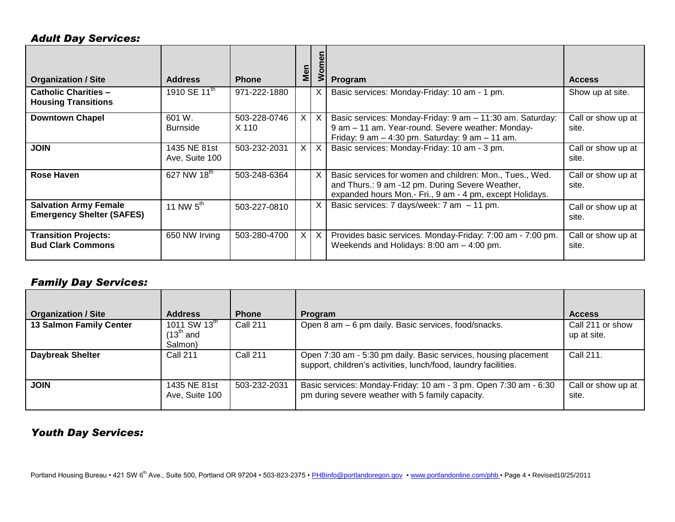#### *Adult Day Services:*

| <b>Organization / Site</b>                                       | <b>Address</b>                 | <b>Phone</b>          | Men          | $\circ$<br>⋧ | Program                                                                                                                                                                   | <b>Access</b>               |
|------------------------------------------------------------------|--------------------------------|-----------------------|--------------|--------------|---------------------------------------------------------------------------------------------------------------------------------------------------------------------------|-----------------------------|
| <b>Catholic Charities -</b><br><b>Housing Transitions</b>        | 1910 SE 11 <sup>th</sup>       | 971-222-1880          |              | X            | Basic services: Monday-Friday: 10 am - 1 pm.                                                                                                                              | Show up at site.            |
| <b>Downtown Chapel</b>                                           | 601 W.<br><b>Burnside</b>      | 503-228-0746<br>X 110 |              | $X$   $X$    | Basic services: Monday-Friday: 9 am - 11:30 am. Saturday:<br>9 am - 11 am. Year-round. Severe weather: Monday-<br>Friday: $9$ am $-$ 4:30 pm. Saturday: $9$ am $-$ 11 am. | Call or show up at<br>site. |
| <b>JOIN</b>                                                      | 1435 NE 81st<br>Ave, Suite 100 | 503-232-2031          | $\mathsf{X}$ | $\mathsf{X}$ | Basic services: Monday-Friday: 10 am - 3 pm.                                                                                                                              | Call or show up at<br>site. |
| Rose Haven                                                       | 627 NW 18th                    | 503-248-6364          |              | X            | Basic services for women and children: Mon., Tues., Wed.<br>and Thurs.: 9 am -12 pm. During Severe Weather,<br>expanded hours Mon.- Fri., 9 am - 4 pm, except Holidays.   | Call or show up at<br>site. |
| <b>Salvation Army Female</b><br><b>Emergency Shelter (SAFES)</b> | 11 NW $5^{\text{th}}$          | 503-227-0810          |              | X            | Basic services: 7 days/week: $7 \text{ am } -11 \text{ pm}$ .                                                                                                             | Call or show up at<br>site. |
| <b>Transition Projects:</b><br><b>Bud Clark Commons</b>          | 650 NW Irving                  | 503-280-4700          | $\mathsf{X}$ | $\mathsf{X}$ | Provides basic services. Monday-Friday: 7:00 am - 7:00 pm.<br>Weekends and Holidays: 8:00 am - 4:00 pm.                                                                   | Call or show up at<br>site. |

#### *Family Day Services:*

| <b>Organization / Site</b> | <b>Address</b>                                               | <b>Phone</b>    | <b>Program</b>                                                                                                                     | <b>Access</b>                   |
|----------------------------|--------------------------------------------------------------|-----------------|------------------------------------------------------------------------------------------------------------------------------------|---------------------------------|
| 13 Salmon Family Center    | 1011 SW 13 <sup>th</sup><br>$(13^{\text{th}}$ and<br>Salmon) | <b>Call 211</b> | Open 8 am - 6 pm daily. Basic services, food/snacks.                                                                               | Call 211 or show<br>up at site. |
| <b>Daybreak Shelter</b>    | <b>Call 211</b>                                              | <b>Call 211</b> | Open 7:30 am - 5:30 pm daily. Basic services, housing placement<br>support, children's activities, lunch/food, laundry facilities. | Call 211.                       |
| <b>JOIN</b>                | 1435 NE 81st<br>Ave, Suite 100                               | 503-232-2031    | Basic services: Monday-Friday: 10 am - 3 pm. Open 7:30 am - 6:30<br>pm during severe weather with 5 family capacity.               | Call or show up at<br>site.     |

#### *Youth Day Services:*